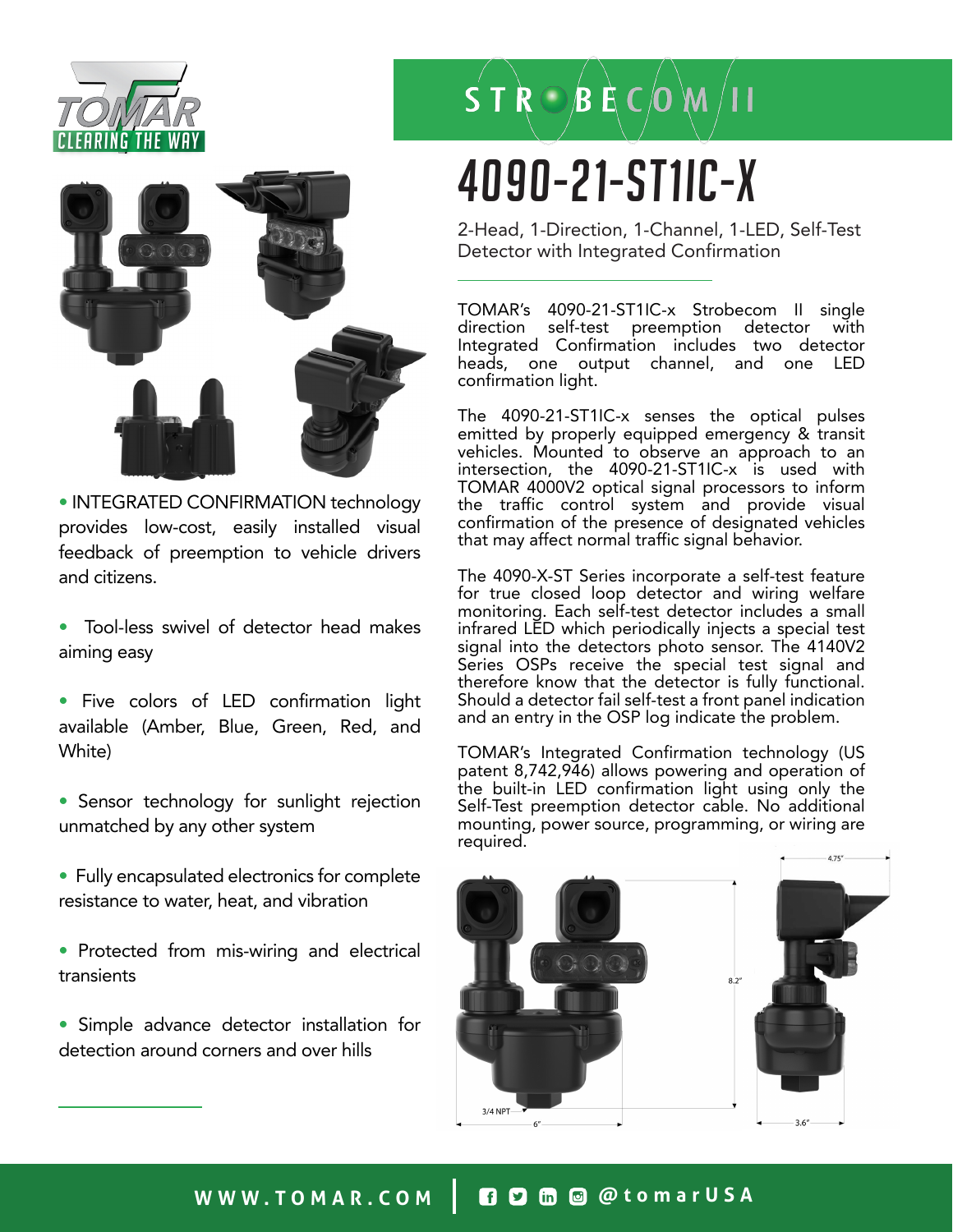



• INTEGRATED CONFIRMATION technology provides low-cost, easily installed visual feedback of preemption to vehicle drivers and citizens.

- Tool-less swivel of detector head makes aiming easy
- Five colors of LED confirmation light available (Amber, Blue, Green, Red, and White)
- Sensor technology for sunlight rejection unmatched by any other system
- Fully encapsulated electronics for complete resistance to water, heat, and vibration
- Protected from mis-wiring and electrical transients
- Simple advance detector installation for detection around corners and over hills

## $\overrightarrow{S}$  T  $\overrightarrow{R}$   $\odot$   $\overrightarrow{B}$   $\overrightarrow{E}$   $\overrightarrow{C}$   $\overrightarrow{O}$   $\overrightarrow{M}$   $\overrightarrow{I}$  I

# 4090-21-ST1IC-x

2-Head, 1-Direction, 1-Channel, 1-LED, Self-Test Detector with Integrated Confirmation

TOMAR's 4090-21-ST1IC-x Strobecom II single direction self-test preemption detector with Integrated Confirmation includes two detector heads, one output channel, and one confirmation light.

The 4090-21-ST1IC-x senses the optical pulses emitted by properly equipped emergency & transit vehicles. Mounted to observe an approach to an intersection, the 4090-21-ST1IC-x is used with TOMAR 4000V2 optical signal processors to inform the traffic control system and provide visual confirmation of the presence of designated vehicles that may affect normal traffic signal behavior.

The 4090-X-ST Series incorporate a self-test feature for true closed loop detector and wiring welfare monitoring. Each self-test detector includes a small infrared LED which periodically injects a special test signal into the detectors photo sensor. The 4140V2 Series OSPs receive the special test signal and therefore know that the detector is fully functional. Should a detector fail self-test a front panel indication and an entry in the OSP log indicate the problem.

TOMAR's Integrated Confirmation technology (US patent 8,742,946) allows powering and operation of the built-in LED confirmation light using only the Self-Test preemption detector cable. No additional mounting, power source, programming, or wiring are required.



### **WWW.TOMAR.COM @tomarUSA**